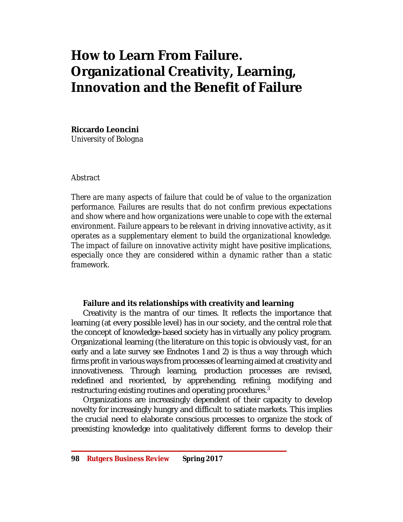# **How to Learn From Failure. Organizational Creativity, Learning, Innovation and the Benefit of Failure**

**Riccardo Leoncini**

*University of Bologna*

### *Abstract*

*There are many aspects of failure that could be of value to the organization performance. Failures are results that do not confirm previous expectations and show where and how organizations were unable to cope with the external environment. Failure appears to be relevant in driving innovative activity, as it operates as a supplementary element to build the organizational knowledge. The impact of failure on innovative activity might have positive implications, especially once they are considered within a dynamic rather than a static framework.* 

## **Failure and its relationships with creativity and learning**

Creativity is the mantra of our times. It reflects the importance that learning (at every possible level) has in our society, and the central role that the concept of knowledge-based society has in virtually any policy program. Organizational learning (the literature on this topic is obviously vast, for an early and a late survey see Endnotes 1 and 2) is thus a way through which firms profit in various ways from processes of learning aimed at creativity and innovativeness. Through learning, production processes are revised, redefined and reoriented, by apprehending, refining, modifying and restructuring existing routines and operating procedures. $^{\rm 3}$ 

Organizations are increasingly dependent of their capacity to develop novelty for increasingly hungry and difficult to satiate markets. This implies the crucial need to elaborate conscious processes to organize the stock of preexisting knowledge into qualitatively different forms to develop their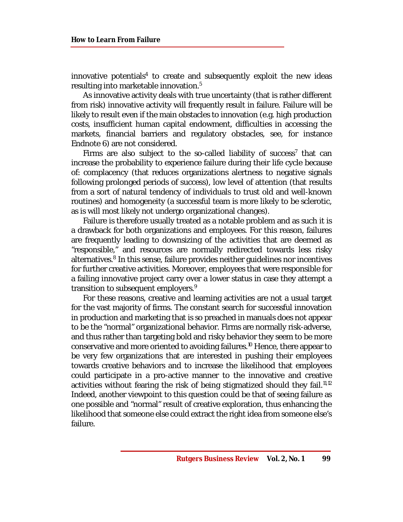innovative potentials<sup>4</sup> to create and subsequently exploit the new ideas resulting into marketable innovation. 5

As innovative activity deals with true uncertainty (that is rather different from risk) innovative activity will frequently result in failure. Failure will be likely to result even if the main obstacles to innovation (e.g. high production costs, insufficient human capital endowment, difficulties in accessing the markets, financial barriers and regulatory obstacles, see, for instance Endnote 6) are not considered.

Firms are also subject to the so-called liability of success<sup>7</sup> that can increase the probability to experience failure during their life cycle because of: complacency (that reduces organizations alertness to negative signals following prolonged periods of success), low level of attention (that results from a sort of natural tendency of individuals to trust old and well-known routines) and homogeneity (a successful team is more likely to be sclerotic, as is will most likely not undergo organizational changes).

Failure is therefore usually treated as a notable problem and as such it is a drawback for both organizations and employees. For this reason, failures are frequently leading to downsizing of the activities that are deemed as "responsible," and resources are normally redirected towards less risky alternatives.<sup>8</sup> In this sense, failure provides neither guidelines nor incentives for further creative activities. Moreover, employees that were responsible for a failing innovative project carry over a lower status in case they attempt a transition to subsequent employers.<sup>9</sup>

For these reasons, creative and learning activities are not a usual target for the vast majority of firms. The constant search for successful innovation in production and marketing that is so preached in manuals does not appear to be the "normal" organizational behavior. Firms are normally risk-adverse, and thus rather than targeting bold and risky behavior they seem to be more conservative and more oriented to avoiding failures. <sup>10</sup> Hence, there appear to be very few organizations that are interested in pushing their employees towards creative behaviors and to increase the likelihood that employees could participate in a pro-active manner to the innovative and creative activities without fearing the risk of being stigmatized should they fail. $^{\text{11,12}}$ Indeed, another viewpoint to this question could be that of seeing failure as one possible and "normal" result of creative exploration, thus enhancing the likelihood that someone else could extract the right idea from someone else's failure.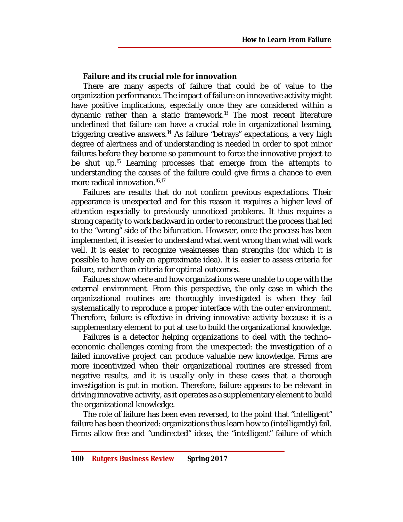## **Failure and its crucial role for innovation**

There are many aspects of failure that could be of value to the organization performance. The impact of failure on innovative activity might have positive implications, especially once they are considered within a dynamic rather than a static framework. <sup>13</sup> The most recent literature underlined that failure can have a crucial role in organizational learning, triggering creative answers. <sup>14</sup> As failure "betrays" expectations, a very high degree of alertness and of understanding is needed in order to spot minor failures before they become so paramount to force the innovative project to be shut up.<sup>15</sup> Learning processes that emerge from the attempts to understanding the causes of the failure could give firms a chance to even more radical innovation. 16,17

Failures are results that do not confirm previous expectations. Their appearance is unexpected and for this reason it requires a higher level of attention especially to previously unnoticed problems. It thus requires a strong capacity to work backward in order to reconstruct the process that led to the "wrong" side of the bifurcation. However, once the process has been implemented, it is easier to understand what went wrong than what will work well. It is easier to recognize weaknesses than strengths (for which it is possible to have only an approximate idea). It is easier to assess criteria for failure, rather than criteria for optimal outcomes.

Failures show where and how organizations were unable to cope with the external environment. From this perspective, the only case in which the organizational routines are thoroughly investigated is when they fail systematically to reproduce a proper interface with the outer environment. Therefore, failure is effective in driving innovative activity because it is a supplementary element to put at use to build the organizational knowledge.

Failures is a detector helping organizations to deal with the techno– economic challenges coming from the unexpected: the investigation of a failed innovative project can produce valuable new knowledge. Firms are more incentivized when their organizational routines are stressed from negative results, and it is usually only in these cases that a thorough investigation is put in motion. Therefore, failure appears to be relevant in driving innovative activity, as it operates as a supplementary element to build the organizational knowledge.

The role of failure has been even reversed, to the point that "intelligent" failure has been theorized: organizations thus learn how to (intelligently) fail. Firms allow free and "undirected" ideas, the "intelligent" failure of which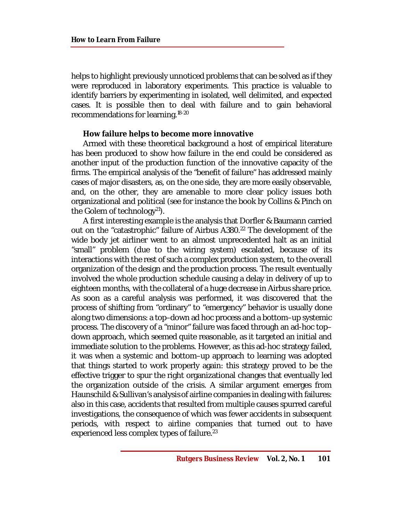helps to highlight previously unnoticed problems that can be solved as if they were reproduced in laboratory experiments. This practice is valuable to identify barriers by experimenting in isolated, well delimited, and expected cases. It is possible then to deal with failure and to gain behavioral recommendations for learning. 18-20

#### **How failure helps to become more innovative**

Armed with these theoretical background a host of empirical literature has been produced to show how failure in the end could be considered as another input of the production function of the innovative capacity of the firms. The empirical analysis of the "benefit of failure" has addressed mainly cases of major disasters, as, on the one side, they are more easily observable, and, on the other, they are amenable to more clear policy issues both organizational and political (see for instance the book by Collins & Pinch on the Golem of technology<sup>21</sup>).

A first interesting example is the analysis that Dorfler & Baumann carried out on the "catastrophic" failure of Airbus A380.<sup>22</sup> The development of the wide body jet airliner went to an almost unprecedented halt as an initial "small" problem (due to the wiring system) escalated, because of its interactions with the rest of such a complex production system, to the overall organization of the design and the production process. The result eventually involved the whole production schedule causing a delay in delivery of up to eighteen months, with the collateral of a huge decrease in Airbus share price. As soon as a careful analysis was performed, it was discovered that the process of shifting from "ordinary" to "emergency" behavior is usually done along two dimensions: a top–down ad hoc process and a bottom–up systemic process. The discovery of a "minor" failure was faced through an ad-hoc top– down approach, which seemed quite reasonable, as it targeted an initial and immediate solution to the problems. However, as this ad-hoc strategy failed, it was when a systemic and bottom–up approach to learning was adopted that things started to work properly again: this strategy proved to be the effective trigger to spur the right organizational changes that eventually led the organization outside of the crisis. A similar argument emerges from Haunschild & Sullivan's analysis of airline companies in dealing with failures: also in this case, accidents that resulted from multiple causes spurred careful investigations, the consequence of which was fewer accidents in subsequent periods, with respect to airline companies that turned out to have experienced less complex types of failure.<sup>23</sup>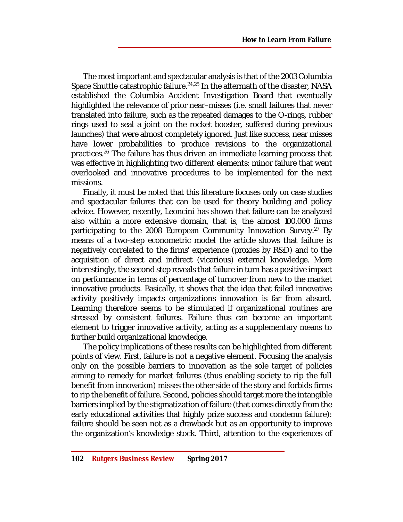The most important and spectacular analysis is that of the 2003 Columbia Space Shuttle catastrophic failure.<sup>24,25</sup> In the aftermath of the disaster, NASA established the Columbia Accident Investigation Board that eventually highlighted the relevance of prior near–misses (i.e. small failures that never translated into failure, such as the repeated damages to the O-rings, rubber rings used to seal a joint on the rocket booster, suffered during previous launches) that were almost completely ignored. Just like success, near misses have lower probabilities to produce revisions to the organizational practices. <sup>26</sup> The failure has thus driven an immediate learning process that was effective in highlighting two different elements: minor failure that went overlooked and innovative procedures to be implemented for the next missions.

Finally, it must be noted that this literature focuses only on case studies and spectacular failures that can be used for theory building and policy advice. However, recently, Leoncini has shown that failure can be analyzed also within a more extensive domain, that is, the almost 100.000 firms participating to the 2008 European Community Innovation Survey.<sup>27</sup> By means of a two-step econometric model the article shows that failure is negatively correlated to the firms' experience (proxies by R&D) and to the acquisition of direct and indirect (vicarious) external knowledge. More interestingly, the second step reveals that failure in turn has a positive impact on performance in terms of percentage of turnover from new to the market innovative products. Basically, it shows that the idea that failed innovative activity positively impacts organizations innovation is far from absurd. Learning therefore seems to be stimulated if organizational routines are stressed by consistent failures. Failure thus can become an important element to trigger innovative activity, acting as a supplementary means to further build organizational knowledge.

The policy implications of these results can be highlighted from different points of view. First, failure is not a negative element. Focusing the analysis only on the possible barriers to innovation as the sole target of policies aiming to remedy for market failures (thus enabling society to rip the full benefit from innovation) misses the other side of the story and forbids firms to rip the benefit of failure. Second, policies should target more the intangible barriers implied by the stigmatization of failure (that comes directly from the early educational activities that highly prize success and condemn failure): failure should be seen not as a drawback but as an opportunity to improve the organization's knowledge stock. Third, attention to the experiences of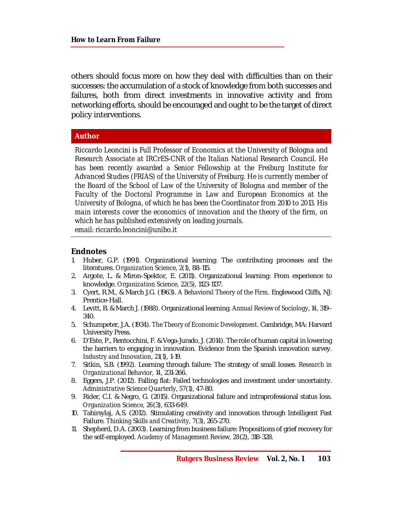others should focus more on how they deal with difficulties than on their successes: the accumulation of a stock of knowledge from both successes and failures, both from direct investments in innovative activity and from networking efforts, should be encouraged and ought to be the target of direct policy interventions.

#### **Author**

*Riccardo Leoncini is Full Professor of Economics at the University of Bologna and Research Associate at IRCrES-CNR of the Italian National Research Council. He has been recently awarded a Senior Fellowship at the Freiburg Institute for Advanced Studies (FRIAS) of the University of Freiburg. He is currently member of the Board of the School of Law of the University of Bologna and member of the Faculty of the Doctoral Programme in Law and European Economics at the University of Bologna, of which he has been the Coordinator from 2010 to 2013. His main interests cover the economics of innovation and the theory of the firm, on which he has published extensively on leading journals. email: [riccardo.leoncini@unibo.it](mailto:riccardo.leoncini@unibo.it)*

#### **Endnotes**

- 1. Huber, G.P. (1991). Organizational learning: The contributing processes and the literatures. *Organization Science, 2*(1), 88-115.
- 2. Argote, L. & Miron-Spektor, E. (2011). Organizational learning: From experience to knowledge. *Organization Science, 22*(5), 1123-1137.
- 3. Cyert, R.M., & March J.G. (1963). *A Behavioral Theory of the Firm.* Englewood Cliffs, NJ: Prentice-Hall.
- 4. Levitt, B. & March J. (1988). Organizational learning. *Annual Review of Sociology*, *14*, 319– 340.
- 5. Schumpeter, J.A. (1934). *The Theory of Economic Development.* Cambridge, MA: Harvard University Press.
- 6. D'Este, P., Rentocchini, F. & Vega-Jurado, J. (2014). The role of human capital in lowering the barriers to engaging in innovation. Evidence from the Spanish innovation survey. *Industry and Innovation*, *21*(1), 1-19.
- 7. Sitkin, S.B. (1992). Learning through failure: The strategy of small losses. *Research in Organizational Behavior, 14*, 231-266.
- 8. Eggers, J.P. (2012). Falling flat: Failed technologies and investment under uncertainty. *Administrative Science Quarterly, 57*(1), 47-80.
- 9. Rider, C.I. & Negro, G. (2015). Organizational failure and intraprofessional status loss. *Organization Science, 26*(3), 633-649.
- 10. Tahirsylaj, A.S. (2012). Stimulating creativity and innovation through Intelligent Fast Failure. *Thinking Skills and Creativity, 7*(3), 265-270.
- 11. Shepherd, D.A. (2003). Learning from business failure: Propositions of grief recovery for the self-employed. *Academy of Management Review, 28*(2), 318-328.